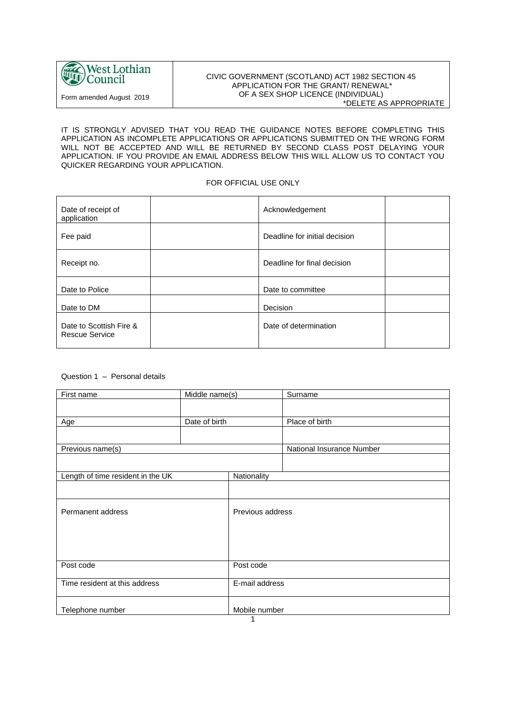

#### CIVIC GOVERNMENT (SCOTLAND) ACT 1982 SECTION 45 APPLICATION FOR THE GRANT/ RENEWAL\* OF A SEX SHOP LICENCE (INDIVIDUAL) \*DELETE AS APPROPRIATE

#### IT IS STRONGLY ADVISED THAT YOU READ THE GUIDANCE NOTES BEFORE COMPLETING THIS APPLICATION AS INCOMPLETE APPLICATIONS OR APPLICATIONS SUBMITTED ON THE WRONG FORM WILL NOT BE ACCEPTED AND WILL BE RETURNED BY SECOND CLASS POST DELAYING YOUR APPLICATION. IF YOU PROVIDE AN EMAIL ADDRESS BELOW THIS WILL ALLOW US TO CONTACT YOU QUICKER REGARDING YOUR APPLICATION.

#### FOR OFFICIAL USE ONLY

| Date of receipt of<br>application         | Acknowledgement               |  |
|-------------------------------------------|-------------------------------|--|
| Fee paid                                  | Deadline for initial decision |  |
| Receipt no.                               | Deadline for final decision   |  |
| Date to Police                            | Date to committee             |  |
| Date to DM                                | Decision                      |  |
| Date to Scottish Fire &<br>Rescue Service | Date of determination         |  |

#### Question 1 – Personal details

| First name                        | Middle name(s) |                  | Surname                   |
|-----------------------------------|----------------|------------------|---------------------------|
|                                   |                |                  |                           |
|                                   | Date of birth  |                  | Place of birth            |
| Age                               |                |                  |                           |
|                                   |                |                  |                           |
| Previous name(s)                  |                |                  | National Insurance Number |
|                                   |                |                  |                           |
| Length of time resident in the UK |                | Nationality      |                           |
|                                   |                |                  |                           |
|                                   |                | Previous address |                           |
| Permanent address                 |                |                  |                           |
|                                   |                |                  |                           |
|                                   |                |                  |                           |
|                                   |                |                  |                           |
| Post code                         |                | Post code        |                           |
| Time resident at this address     |                | E-mail address   |                           |
|                                   |                |                  |                           |
| Telephone number                  |                | Mobile number    |                           |
| 1                                 |                |                  |                           |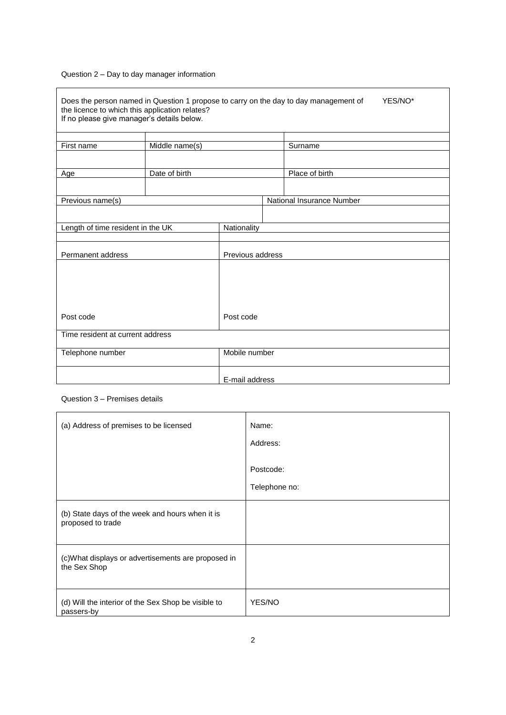### Question 2 – Day to day manager information

 $\mathbf{r}$ 

| Does the person named in Question 1 propose to carry on the day to day management of<br>YES/NO*<br>the licence to which this application relates?<br>If no please give manager's details below. |                |                  |  |                           |  |
|-------------------------------------------------------------------------------------------------------------------------------------------------------------------------------------------------|----------------|------------------|--|---------------------------|--|
| First name                                                                                                                                                                                      | Middle name(s) |                  |  | Surname                   |  |
|                                                                                                                                                                                                 |                |                  |  |                           |  |
| Age                                                                                                                                                                                             | Date of birth  |                  |  | Place of birth            |  |
|                                                                                                                                                                                                 |                |                  |  |                           |  |
| Previous name(s)                                                                                                                                                                                |                |                  |  | National Insurance Number |  |
|                                                                                                                                                                                                 |                |                  |  |                           |  |
| Length of time resident in the UK                                                                                                                                                               |                | Nationality      |  |                           |  |
|                                                                                                                                                                                                 |                |                  |  |                           |  |
| Permanent address                                                                                                                                                                               |                | Previous address |  |                           |  |
|                                                                                                                                                                                                 |                |                  |  |                           |  |
|                                                                                                                                                                                                 |                |                  |  |                           |  |
|                                                                                                                                                                                                 |                |                  |  |                           |  |
|                                                                                                                                                                                                 |                |                  |  |                           |  |
| Post code                                                                                                                                                                                       |                | Post code        |  |                           |  |
| Time resident at current address                                                                                                                                                                |                |                  |  |                           |  |
| Telephone number                                                                                                                                                                                |                | Mobile number    |  |                           |  |
|                                                                                                                                                                                                 |                | E-mail address   |  |                           |  |

#### Question 3 – Premises details

| (a) Address of premises to be licensed                               | Name:<br>Address:<br>Postcode:<br>Telephone no: |
|----------------------------------------------------------------------|-------------------------------------------------|
| (b) State days of the week and hours when it is<br>proposed to trade |                                                 |
| (c)What displays or advertisements are proposed in<br>the Sex Shop   |                                                 |
| (d) Will the interior of the Sex Shop be visible to<br>passers-by    | YES/NO                                          |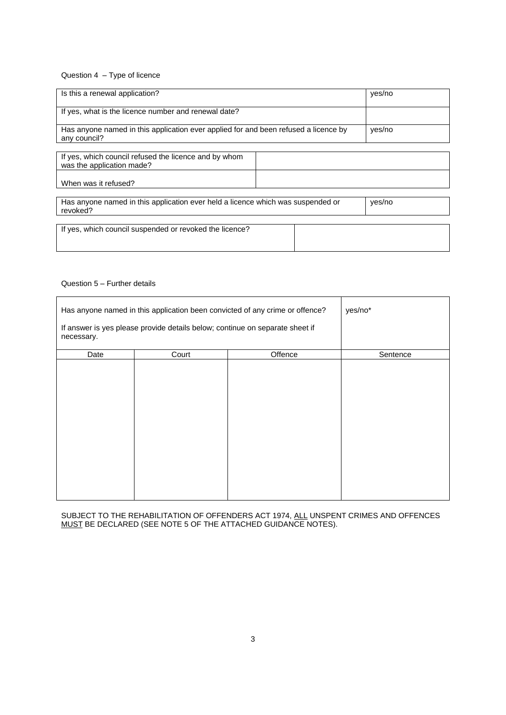#### Question 4 – Type of licence

| Is this a renewal application?                                                                      |        | yes/no |
|-----------------------------------------------------------------------------------------------------|--------|--------|
| If yes, what is the licence number and renewal date?                                                |        |        |
| Has anyone named in this application ever applied for and been refused a licence by<br>any council? | yes/no |        |
| If yes, which council refused the licence and by whom<br>was the application made?                  |        |        |
| When was it refused?                                                                                |        |        |

| Has anyone named in this application ever held a licence which was suspended or<br>revoked? | ves/no |
|---------------------------------------------------------------------------------------------|--------|
|                                                                                             |        |

If yes, which council suspended or revoked the licence?

#### Question 5 – Further details

| Has anyone named in this application been convicted of any crime or offence?               | yes/no* |         |          |
|--------------------------------------------------------------------------------------------|---------|---------|----------|
| If answer is yes please provide details below; continue on separate sheet if<br>necessary. |         |         |          |
| Date                                                                                       | Court   | Offence | Sentence |
|                                                                                            |         |         |          |

SUBJECT TO THE REHABILITATION OF OFFENDERS ACT 1974, ALL UNSPENT CRIMES AND OFFENCES MUST BE DECLARED (SEE NOTE 5 OF THE ATTACHED GUIDANCE NOTES).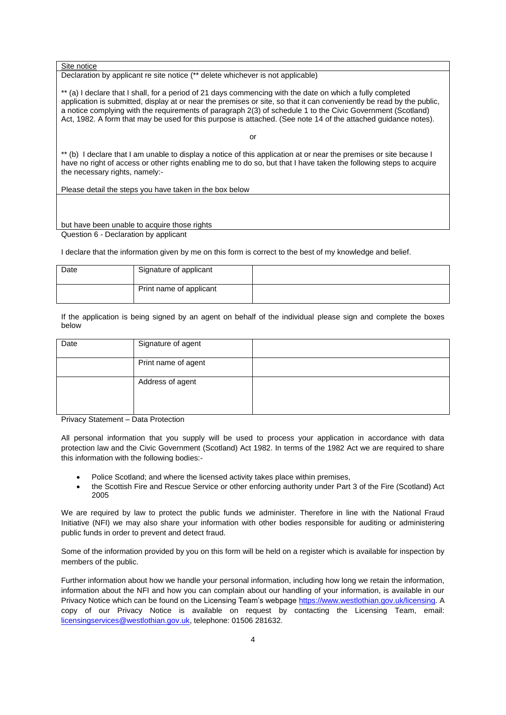#### Site notice

Declaration by applicant re site notice (\*\* delete whichever is not applicable)

\*\* (a) I declare that I shall, for a period of 21 days commencing with the date on which a fully completed application is submitted, display at or near the premises or site, so that it can conveniently be read by the public, a notice complying with the requirements of paragraph 2(3) of schedule 1 to the Civic Government (Scotland) Act, 1982. A form that may be used for this purpose is attached. (See note 14 of the attached guidance notes).

or

\*\* (b) I declare that I am unable to display a notice of this application at or near the premises or site because I have no right of access or other rights enabling me to do so, but that I have taken the following steps to acquire the necessary rights, namely:-

Please detail the steps you have taken in the box below

#### but have been unable to acquire those rights Question 6 - Declaration by applicant

I declare that the information given by me on this form is correct to the best of my knowledge and belief.

| Date | Signature of applicant  |  |
|------|-------------------------|--|
|      | Print name of applicant |  |

If the application is being signed by an agent on behalf of the individual please sign and complete the boxes below

| Date               | Signature of agent  |  |
|--------------------|---------------------|--|
|                    | Print name of agent |  |
|                    | Address of agent    |  |
| $\sim$ $\sim$<br>. |                     |  |

Privacy Statement – Data Protection

All personal information that you supply will be used to process your application in accordance with data protection law and the Civic Government (Scotland) Act 1982. In terms of the 1982 Act we are required to share this information with the following bodies:-

- Police Scotland; and where the licensed activity takes place within premises,
- the Scottish Fire and Rescue Service or other enforcing authority under Part 3 of the Fire (Scotland) Act 2005

We are required by law to protect the public funds we administer. Therefore in line with the National Fraud Initiative (NFI) we may also share your information with other bodies responsible for auditing or administering public funds in order to prevent and detect fraud.

Some of the information provided by you on this form will be held on a register which is available for inspection by members of the public.

Further information about how we handle your personal information, including how long we retain the information, information about the NFI and how you can complain about our handling of your information, is available in our Privacy Notice which can be found on the Licensing Team's webpag[e https://www.westlothian.gov.uk/licensing.](https://www.westlothian.gov.uk/licensing) A copy of our Privacy Notice is available on request by contacting the Licensing Team, email: [licensingservices@westlothian.gov.uk,](mailto:licensingservices@westlothian.gov.uk) telephone: 01506 281632.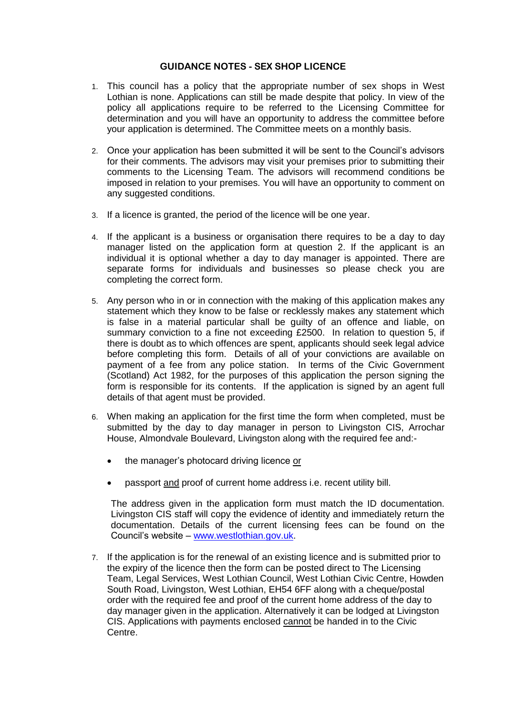### **GUIDANCE NOTES - SEX SHOP LICENCE**

- 1. This council has a policy that the appropriate number of sex shops in West Lothian is none. Applications can still be made despite that policy. In view of the policy all applications require to be referred to the Licensing Committee for determination and you will have an opportunity to address the committee before your application is determined. The Committee meets on a monthly basis.
- 2. Once your application has been submitted it will be sent to the Council's advisors for their comments. The advisors may visit your premises prior to submitting their comments to the Licensing Team. The advisors will recommend conditions be imposed in relation to your premises. You will have an opportunity to comment on any suggested conditions.
- 3. If a licence is granted, the period of the licence will be one year.
- 4. If the applicant is a business or organisation there requires to be a day to day manager listed on the application form at question 2. If the applicant is an individual it is optional whether a day to day manager is appointed. There are separate forms for individuals and businesses so please check you are completing the correct form.
- 5. Any person who in or in connection with the making of this application makes any statement which they know to be false or recklessly makes any statement which is false in a material particular shall be guilty of an offence and liable, on summary conviction to a fine not exceeding £2500. In relation to question 5, if there is doubt as to which offences are spent, applicants should seek legal advice before completing this form. Details of all of your convictions are available on payment of a fee from any police station. In terms of the Civic Government (Scotland) Act 1982, for the purposes of this application the person signing the form is responsible for its contents. If the application is signed by an agent full details of that agent must be provided.
- 6. When making an application for the first time the form when completed, must be submitted by the day to day manager in person to Livingston CIS, Arrochar House, Almondvale Boulevard, Livingston along with the required fee and:
	- the manager's photocard driving licence or
	- passport and proof of current home address i.e. recent utility bill.

The address given in the application form must match the ID documentation. Livingston CIS staff will copy the evidence of identity and immediately return the documentation. Details of the current licensing fees can be found on the Council's website – [www.westlothian.gov.uk.](http://www.westlothian.gov.uk/)

7. If the application is for the renewal of an existing licence and is submitted prior to the expiry of the licence then the form can be posted direct to The Licensing Team, Legal Services, West Lothian Council, West Lothian Civic Centre, Howden South Road, Livingston, West Lothian, EH54 6FF along with a cheque/postal order with the required fee and proof of the current home address of the day to day manager given in the application. Alternatively it can be lodged at Livingston CIS. Applications with payments enclosed cannot be handed in to the Civic Centre.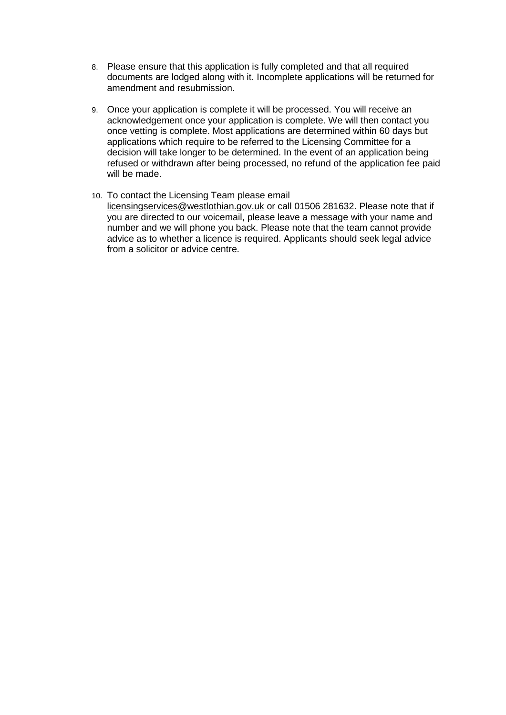- 8. Please ensure that this application is fully completed and that all required documents are lodged along with it. Incomplete applications will be returned for amendment and resubmission.
- 9. Once your application is complete it will be processed. You will receive an acknowledgement once your application is complete. We will then contact you once vetting is complete. Most applications are determined within 60 days but applications which require to be referred to the Licensing Committee for a decision will take longer to be determined. In the event of an application being refused or withdrawn after being processed, no refund of the application fee paid will be made.
- 10. To contact the Licensing Team please email licensingservices@westlothian.gov.uk or call 01506 281632. Please note that if you are directed to our voicemail, please leave a message with your name and number and we will phone you back. Please note that the team cannot provide advice as to whether a licence is required. Applicants should seek legal advice from a solicitor or advice centre.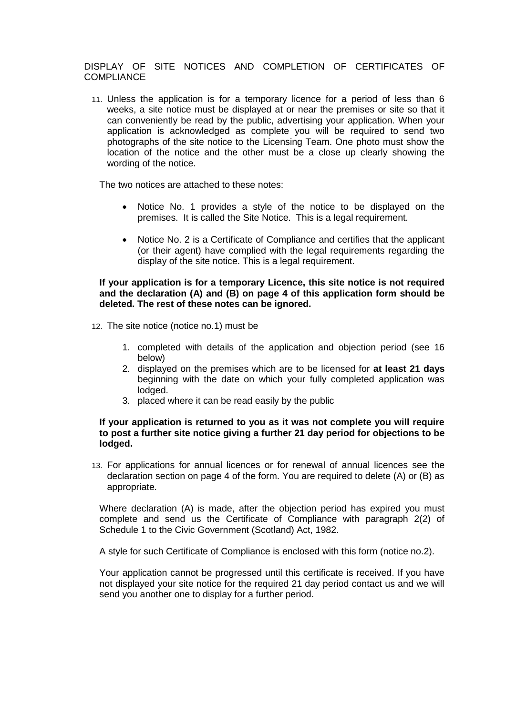### DISPLAY OF SITE NOTICES AND COMPLETION OF CERTIFICATES OF **COMPLIANCE**

11. Unless the application is for a temporary licence for a period of less than 6 weeks, a site notice must be displayed at or near the premises or site so that it can conveniently be read by the public, advertising your application. When your application is acknowledged as complete you will be required to send two photographs of the site notice to the Licensing Team. One photo must show the location of the notice and the other must be a close up clearly showing the wording of the notice.

The two notices are attached to these notes:

- Notice No. 1 provides a style of the notice to be displayed on the premises. It is called the Site Notice. This is a legal requirement.
- Notice No. 2 is a Certificate of Compliance and certifies that the applicant (or their agent) have complied with the legal requirements regarding the display of the site notice. This is a legal requirement.

### **If your application is for a temporary Licence, this site notice is not required and the declaration (A) and (B) on page 4 of this application form should be deleted. The rest of these notes can be ignored.**

- 12. The site notice (notice no.1) must be
	- 1. completed with details of the application and objection period (see 16 below)
	- 2. displayed on the premises which are to be licensed for **at least 21 days** beginning with the date on which your fully completed application was lodged.
	- 3. placed where it can be read easily by the public

### **If your application is returned to you as it was not complete you will require to post a further site notice giving a further 21 day period for objections to be lodged.**

13. For applications for annual licences or for renewal of annual licences see the declaration section on page 4 of the form. You are required to delete (A) or (B) as appropriate.

Where declaration (A) is made, after the objection period has expired you must complete and send us the Certificate of Compliance with paragraph 2(2) of Schedule 1 to the Civic Government (Scotland) Act, 1982.

A style for such Certificate of Compliance is enclosed with this form (notice no.2).

Your application cannot be progressed until this certificate is received. If you have not displayed your site notice for the required 21 day period contact us and we will send you another one to display for a further period.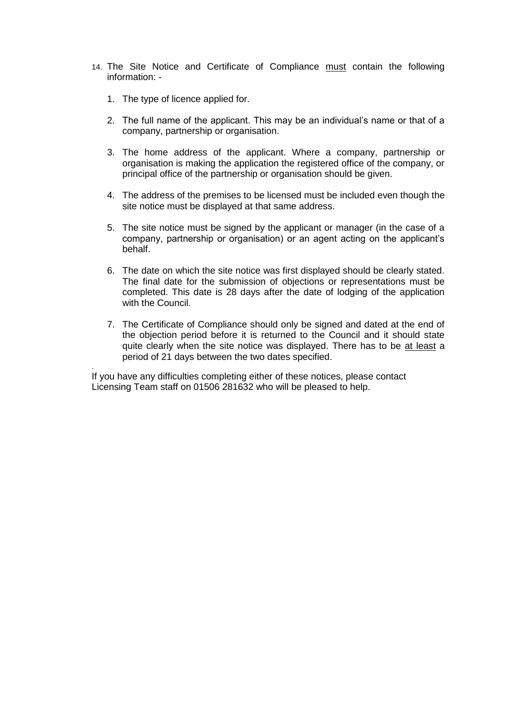- 14. The Site Notice and Certificate of Compliance must contain the following information: -
	- 1. The type of licence applied for.

.

- 2. The full name of the applicant. This may be an individual's name or that of a company, partnership or organisation.
- 3. The home address of the applicant. Where a company, partnership or organisation is making the application the registered office of the company, or principal office of the partnership or organisation should be given.
- 4. The address of the premises to be licensed must be included even though the site notice must be displayed at that same address.
- 5. The site notice must be signed by the applicant or manager (in the case of a company, partnership or organisation) or an agent acting on the applicant's behalf.
- 6. The date on which the site notice was first displayed should be clearly stated. The final date for the submission of objections or representations must be completed. This date is 28 days after the date of lodging of the application with the Council.
- 7. The Certificate of Compliance should only be signed and dated at the end of the objection period before it is returned to the Council and it should state quite clearly when the site notice was displayed. There has to be at least a period of 21 days between the two dates specified.

If you have any difficulties completing either of these notices, please contact Licensing Team staff on 01506 281632 who will be pleased to help.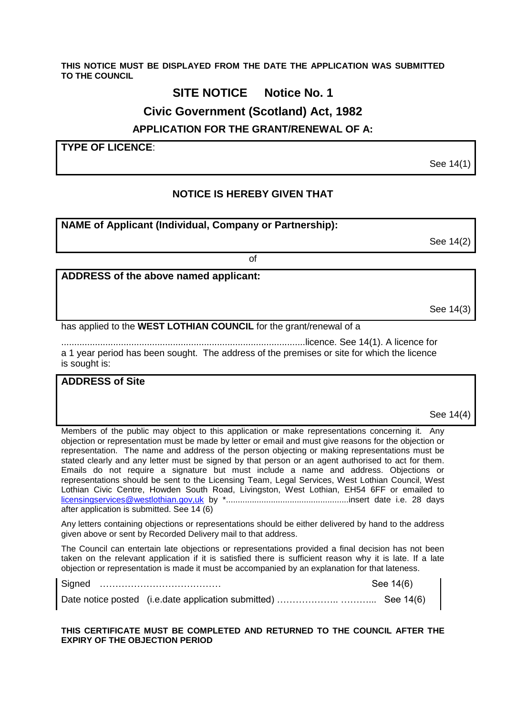#### **THIS NOTICE MUST BE DISPLAYED FROM THE DATE THE APPLICATION WAS SUBMITTED TO THE COUNCIL**

# **SITE NOTICE Notice No. 1**

# **Civic Government (Scotland) Act, 1982**

**APPLICATION FOR THE GRANT/RENEWAL OF A:**

**TYPE OF LICENCE**:

See 14(1)

# **NOTICE IS HEREBY GIVEN THAT**

of

## **NAME of Applicant (Individual, Company or Partnership):**

See 14(2)

# **ADDRESS of the above named applicant:**

See 14(3)

has applied to the **WEST LOTHIAN COUNCIL** for the grant/renewal of a

..............................................................................................licence. See 14(1). A licence for a 1 year period has been sought. The address of the premises or site for which the licence is sought is:

### **ADDRESS of Site**

See 14(4)

Members of the public may object to this application or make representations concerning it. Any objection or representation must be made by letter or email and must give reasons for the objection or representation. The name and address of the person objecting or making representations must be stated clearly and any letter must be signed by that person or an agent authorised to act for them. Emails do not require a signature but must include a name and address. Objections or representations should be sent to the Licensing Team, Legal Services, West Lothian Council, West Lothian Civic Centre, Howden South Road, Livingston, West Lothian, EH54 6FF or emailed to [licensingservices@westlothian.gov,uk](mailto:licensingservices@westlothian.gov,uk) by \*....................................................insert date i.e. 28 days after application is submitted. See 14 (6)

Any letters containing objections or representations should be either delivered by hand to the address given above or sent by Recorded Delivery mail to that address.

The Council can entertain late objections or representations provided a final decision has not been taken on the relevant application if it is satisfied there is sufficient reason why it is late. If a late objection or representation is made it must be accompanied by an explanation for that lateness.

Signed ………………………………… See 14(6) Date notice posted (i.e.date application submitted) ……………….. ………... See 14(6)

**THIS CERTIFICATE MUST BE COMPLETED AND RETURNED TO THE COUNCIL AFTER THE EXPIRY OF THE OBJECTION PERIOD**